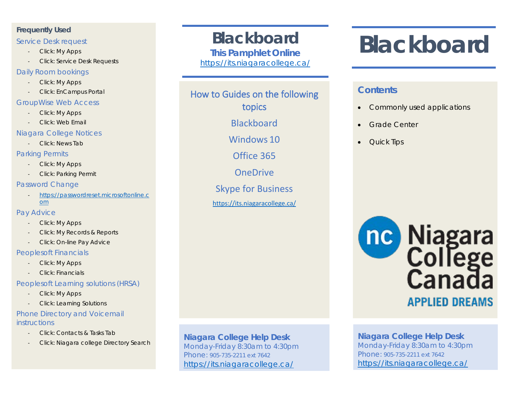#### **Frequently Used**

#### Service Desk request

- Click: My Apps
- Click: Service Desk Requests

#### Daily Room bookings

- Click: My Apps
- Click: EnCampus Portal

#### GroupWise Web Access

- Click: My Apps
- Click: Web Email

#### Niagara College Notices

- Click: News Tab

#### Parking Permits

- Click: My Apps
- Click: Parking Permit

#### Password Change

- [https://passwordreset.microsoftonline.c](https://passwordreset.microsoftonline.com/) [om](https://passwordreset.microsoftonline.com/)

#### Pay Advice

- Click: My Apps
- Click: My Records & Reports
- Click: On-line Pay Advice

#### Peoplesoft Financials

- Click: My Apps
- Click: Financials

#### Peoplesoft Learning solutions (HRSA)

- Click: My Apps
- Click: Learning Solutions

#### Phone Directory and Voicemail **instructions**

- Click: Contacts & Tasks Tab
- Click: Niagara college Directory Search

## *Blackboard*

*This Pamphlet Online <https://its.niagaracollege.ca/>*

### How to Guides on the following topics

Blackboard

Windows 10

Office 365

**OneDrive** 

Skype for Business

<https://its.niagaracollege.ca/>

# *Blackboard*

#### **Contents**

- Commonly used applications
- Grade Center
- Quick Tips



#### **Niagara College Help Desk** Monday-Friday 8:30am to 4:30pm Phone: 905-735-2211 ext 7642 <https://its.niagaracollege.ca/>

#### **Niagara College Help Desk** Monday-Friday 8:30am to 4:30pm Phone: 905-735-2211 ext 7642

<https://its.niagaracollege.ca/>